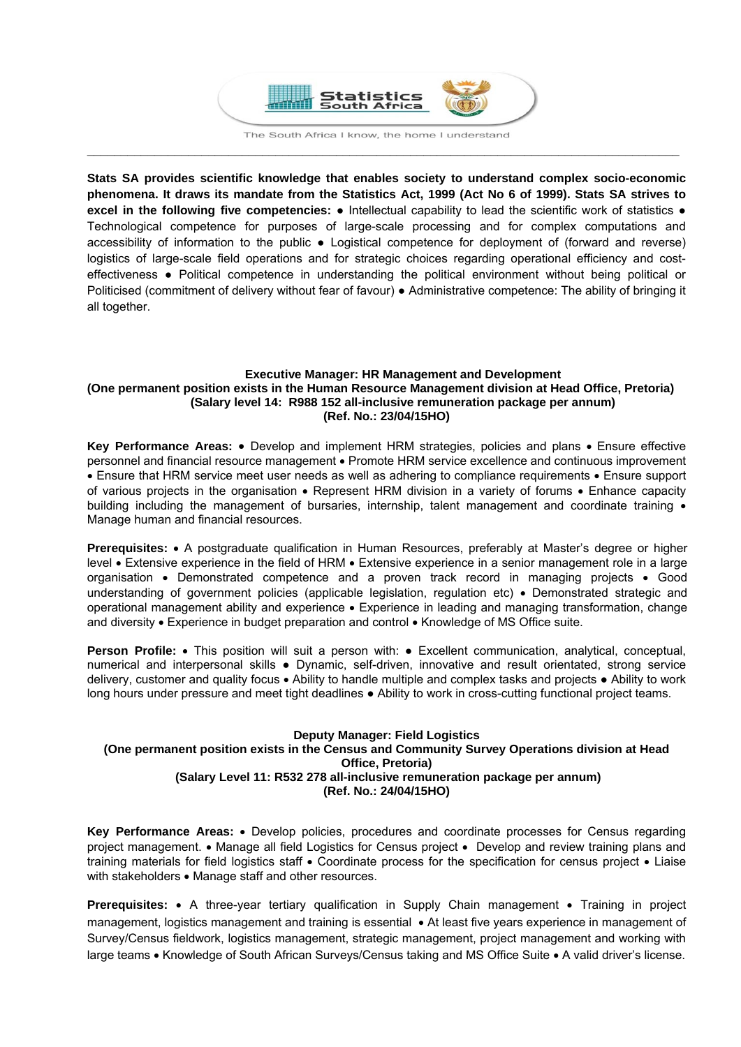

**\_\_\_\_\_\_\_\_\_\_\_\_\_\_\_\_\_\_\_\_\_\_\_\_\_\_\_\_\_\_\_\_\_\_\_\_\_\_\_\_\_\_\_\_\_\_\_\_\_\_\_\_\_\_\_\_\_\_\_\_\_\_\_\_\_\_\_\_\_\_\_\_\_\_\_\_\_\_\_\_\_\_\_\_\_\_\_\_** 

**Stats SA provides scientific knowledge that enables society to understand complex socio-economic phenomena. It draws its mandate from the Statistics Act, 1999 (Act No 6 of 1999). Stats SA strives to excel in the following five competencies:** ● Intellectual capability to lead the scientific work of statistics ● Technological competence for purposes of large-scale processing and for complex computations and accessibility of information to the public ● Logistical competence for deployment of (forward and reverse) logistics of large-scale field operations and for strategic choices regarding operational efficiency and costeffectiveness ● Political competence in understanding the political environment without being political or Politicised (commitment of delivery without fear of favour) ● Administrative competence: The ability of bringing it all together.

## **Executive Manager: HR Management and Development (One permanent position exists in the Human Resource Management division at Head Office, Pretoria) (Salary level 14: R988 152 all-inclusive remuneration package per annum) (Ref. No.: 23/04/15HO)**

**Key Performance Areas:** • Develop and implement HRM strategies, policies and plans • Ensure effective personnel and financial resource management • Promote HRM service excellence and continuous improvement • Ensure that HRM service meet user needs as well as adhering to compliance requirements • Ensure support of various projects in the organisation • Represent HRM division in a variety of forums • Enhance capacity building including the management of bursaries, internship, talent management and coordinate training  $\bullet$ Manage human and financial resources.

**Prerequisites:** A postgraduate qualification in Human Resources, preferably at Master's degree or higher level • Extensive experience in the field of HRM • Extensive experience in a senior management role in a large organisation • Demonstrated competence and a proven track record in managing projects • Good understanding of government policies (applicable legislation, regulation etc) • Demonstrated strategic and operational management ability and experience Experience in leading and managing transformation, change and diversity • Experience in budget preparation and control • Knowledge of MS Office suite.

**Person Profile:** • This position will suit a person with: • Excellent communication, analytical, conceptual, numerical and interpersonal skills ● Dynamic, self-driven, innovative and result orientated, strong service delivery, customer and quality focus • Ability to handle multiple and complex tasks and projects • Ability to work long hours under pressure and meet tight deadlines ● Ability to work in cross-cutting functional project teams.

## **Deputy Manager: Field Logistics (One permanent position exists in the Census and Community Survey Operations division at Head Office, Pretoria) (Salary Level 11: R532 278 all-inclusive remuneration package per annum) (Ref. No.: 24/04/15HO)**

**Key Performance Areas:** Develop policies, procedures and coordinate processes for Census regarding project management. • Manage all field Logistics for Census project • Develop and review training plans and training materials for field logistics staff • Coordinate process for the specification for census project • Liaise with stakeholders • Manage staff and other resources.

**Prerequisites:** • A three-year tertiary qualification in Supply Chain management • Training in project management, logistics management and training is essential  $\bullet$  At least five years experience in management of Survey/Census fieldwork, logistics management, strategic management, project management and working with large teams • Knowledge of South African Surveys/Census taking and MS Office Suite • A valid driver's license.